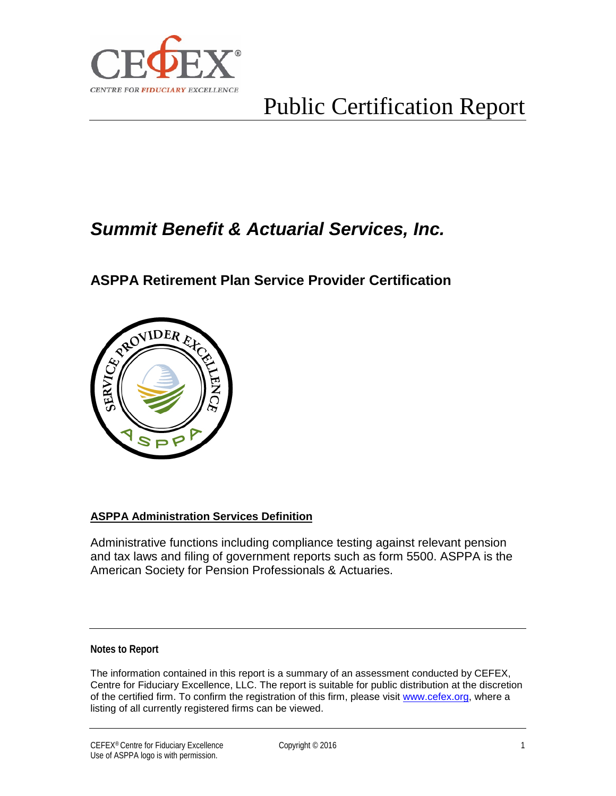

# Public Certification Report

## *Summit Benefit & Actuarial Services, Inc.*

### **ASPPA Retirement Plan Service Provider Certification**



#### **ASPPA Administration Services Definition**

Administrative functions including compliance testing against relevant pension and tax laws and filing of government reports such as form 5500. ASPPA is the American Society for Pension Professionals & Actuaries.

#### **Notes to Report**

The information contained in this report is a summary of an assessment conducted by CEFEX, Centre for Fiduciary Excellence, LLC. The report is suitable for public distribution at the discretion of the certified firm. To confirm the registration of this firm, please visit [www.cefex.org,](http://www.cefex.org/) where a listing of all currently registered firms can be viewed.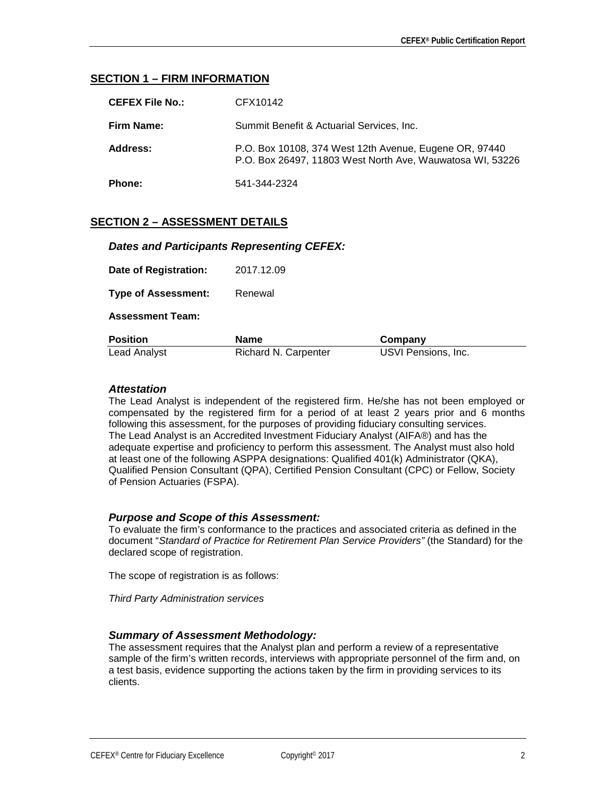#### **SECTION 1 – FIRM INFORMATION**

| CEFEX File No.: | CFX10142                                                                                                            |
|-----------------|---------------------------------------------------------------------------------------------------------------------|
| Firm Name:      | Summit Benefit & Actuarial Services, Inc.                                                                           |
| Address:        | P.O. Box 10108, 374 West 12th Avenue, Eugene OR, 97440<br>P.O. Box 26497, 11803 West North Ave, Wauwatosa WI, 53226 |
| Phone:          | 541-344-2324                                                                                                        |

#### **SECTION 2 – ASSESSMENT DETAILS**

#### *Dates and Participants Representing CEFEX:*

| <b>Lead Analyst</b>        | Richard N. Carpenter | USVI Pensions, Inc. |  |
|----------------------------|----------------------|---------------------|--|
| <b>Position</b>            | Name                 | Company             |  |
| <b>Assessment Team:</b>    |                      |                     |  |
| <b>Type of Assessment:</b> | Renewal              |                     |  |
| Date of Registration:      | 2017.12.09           |                     |  |

#### *Attestation*

The Lead Analyst is independent of the registered firm. He/she has not been employed or compensated by the registered firm for a period of at least 2 years prior and 6 months following this assessment, for the purposes of providing fiduciary consulting services. The Lead Analyst is an Accredited Investment Fiduciary Analyst (AIFA®) and has the adequate expertise and proficiency to perform this assessment. The Analyst must also hold at least one of the following ASPPA designations: Qualified 401(k) Administrator (QKA), Qualified Pension Consultant (QPA), Certified Pension Consultant (CPC) or Fellow, Society of Pension Actuaries (FSPA).

#### *Purpose and Scope of this Assessment:*

To evaluate the firm's conformance to the practices and associated criteria as defined in the document "*Standard of Practice for Retirement Plan Service Providers"* (the Standard) for the declared scope of registration.

The scope of registration is as follows:

*Third Party Administration services*

#### *Summary of Assessment Methodology:*

The assessment requires that the Analyst plan and perform a review of a representative sample of the firm's written records, interviews with appropriate personnel of the firm and, on a test basis, evidence supporting the actions taken by the firm in providing services to its clients.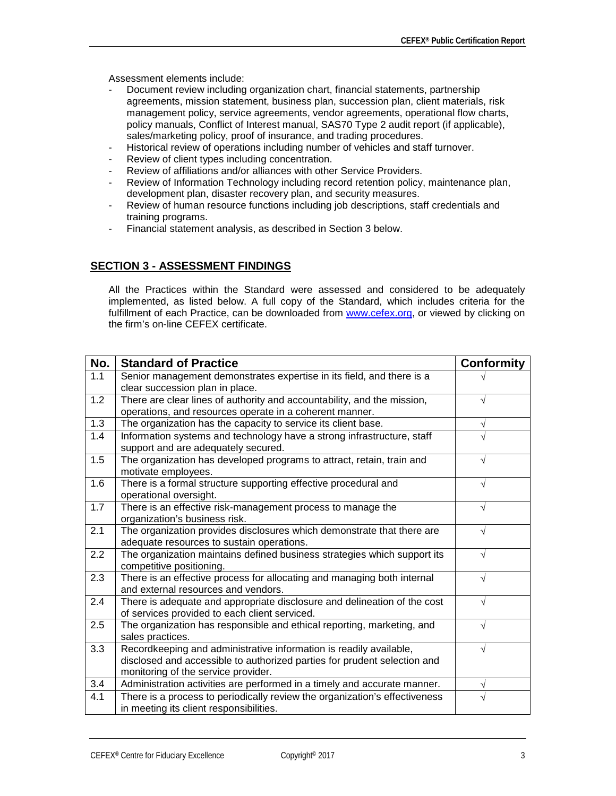Assessment elements include:

- Document review including organization chart, financial statements, partnership agreements, mission statement, business plan, succession plan, client materials, risk management policy, service agreements, vendor agreements, operational flow charts, policy manuals, Conflict of Interest manual, SAS70 Type 2 audit report (if applicable), sales/marketing policy, proof of insurance, and trading procedures.
- Historical review of operations including number of vehicles and staff turnover.
- Review of client types including concentration.
- Review of affiliations and/or alliances with other Service Providers.
- Review of Information Technology including record retention policy, maintenance plan, development plan, disaster recovery plan, and security measures.
- Review of human resource functions including job descriptions, staff credentials and training programs.
- Financial statement analysis, as described in Section 3 below.

#### **SECTION 3 - ASSESSMENT FINDINGS**

All the Practices within the Standard were assessed and considered to be adequately implemented, as listed below. A full copy of the Standard, which includes criteria for the fulfillment of each Practice, can be downloaded from [www.cefex.org,](http://www.cefex.org/) or viewed by clicking on the firm's on-line CEFEX certificate.

| No. | <b>Standard of Practice</b>                                                                                                                                                           | <b>Conformity</b> |
|-----|---------------------------------------------------------------------------------------------------------------------------------------------------------------------------------------|-------------------|
| 1.1 | Senior management demonstrates expertise in its field, and there is a<br>clear succession plan in place.                                                                              |                   |
| 1.2 | There are clear lines of authority and accountability, and the mission,<br>operations, and resources operate in a coherent manner.                                                    |                   |
| 1.3 | The organization has the capacity to service its client base.                                                                                                                         | V                 |
| 1.4 | Information systems and technology have a strong infrastructure, staff<br>support and are adequately secured.                                                                         |                   |
| 1.5 | The organization has developed programs to attract, retain, train and<br>motivate employees.                                                                                          |                   |
| 1.6 | There is a formal structure supporting effective procedural and<br>operational oversight.                                                                                             |                   |
| 1.7 | There is an effective risk-management process to manage the<br>organization's business risk.                                                                                          | $\sqrt{}$         |
| 2.1 | The organization provides disclosures which demonstrate that there are<br>adequate resources to sustain operations.                                                                   | N                 |
| 2.2 | The organization maintains defined business strategies which support its<br>competitive positioning.                                                                                  |                   |
| 2.3 | There is an effective process for allocating and managing both internal<br>and external resources and vendors.                                                                        | اد                |
| 2.4 | There is adequate and appropriate disclosure and delineation of the cost<br>of services provided to each client serviced.                                                             |                   |
| 2.5 | The organization has responsible and ethical reporting, marketing, and<br>sales practices.                                                                                            | N                 |
| 3.3 | Recordkeeping and administrative information is readily available,<br>disclosed and accessible to authorized parties for prudent selection and<br>monitoring of the service provider. |                   |
| 3.4 | Administration activities are performed in a timely and accurate manner.                                                                                                              | V                 |
| 4.1 | There is a process to periodically review the organization's effectiveness<br>in meeting its client responsibilities.                                                                 |                   |